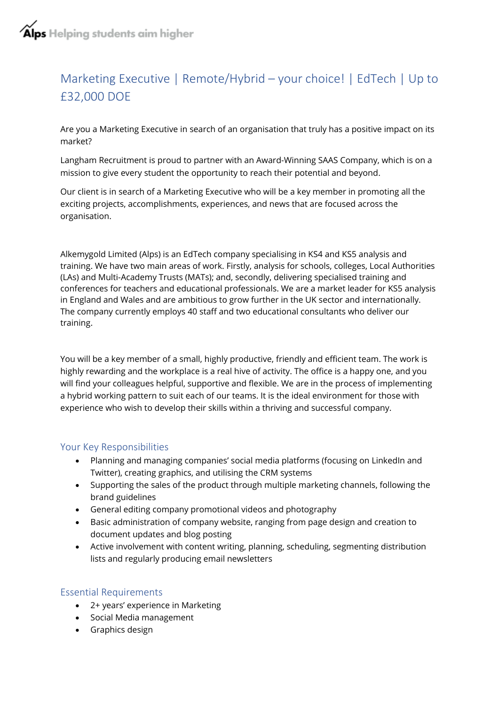# Marketing Executive | Remote/Hybrid – your choice! | EdTech | Up to £32,000 DOE

Are you a Marketing Executive in search of an organisation that truly has a positive impact on its market?

Langham Recruitment is proud to partner with an Award-Winning SAAS Company, which is on a mission to give every student the opportunity to reach their potential and beyond.

Our client is in search of a Marketing Executive who will be a key member in promoting all the exciting projects, accomplishments, experiences, and news that are focused across the organisation.

Alkemygold Limited (Alps) is an EdTech company specialising in KS4 and KS5 analysis and training. We have two main areas of work. Firstly, analysis for schools, colleges, Local Authorities (LAs) and Multi-Academy Trusts (MATs); and, secondly, delivering specialised training and conferences for teachers and educational professionals. We are a market leader for KS5 analysis in England and Wales and are ambitious to grow further in the UK sector and internationally. The company currently employs 40 staff and two educational consultants who deliver our training.

You will be a key member of a small, highly productive, friendly and efficient team. The work is highly rewarding and the workplace is a real hive of activity. The office is a happy one, and you will find your colleagues helpful, supportive and flexible. We are in the process of implementing a hybrid working pattern to suit each of our teams. It is the ideal environment for those with experience who wish to develop their skills within a thriving and successful company.

## Your Key Responsibilities

- Planning and managing companies' social media platforms (focusing on LinkedIn and Twitter), creating graphics, and utilising the CRM systems
- Supporting the sales of the product through multiple marketing channels, following the brand guidelines
- General editing company promotional videos and photography
- Basic administration of company website, ranging from page design and creation to document updates and blog posting
- Active involvement with content writing, planning, scheduling, segmenting distribution lists and regularly producing email newsletters

## Essential Requirements

- 2+ years' experience in Marketing
- Social Media management
- Graphics design